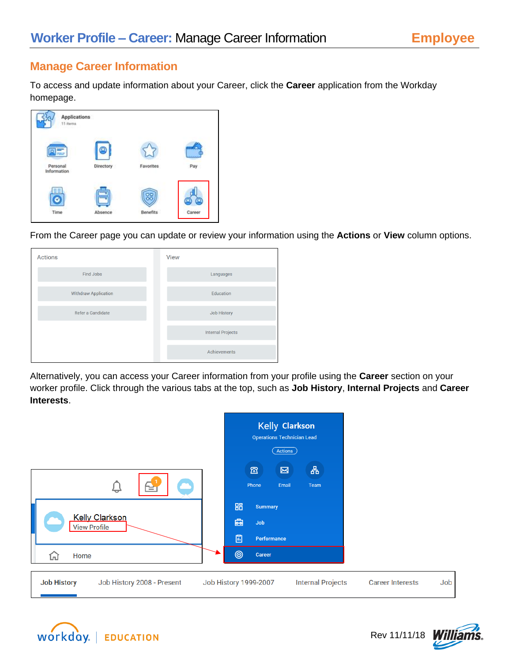# **Manage Career Information**

To access and update information about your Career, click the **Career** application from the Workday homepage.



From the Career page you can update or review your information using the **Actions** or **View** column options.



Alternatively, you can access your Career information from your profile using the **Career** section on your worker profile. Click through the various tabs at the top, such as **Job History**, **Internal Projects** and **Career Interests**.

| ¥<br><b>Kelly Clarkson</b><br><b>View Profile</b> | Kelly Clarkson<br><b>Operations Technician Lead</b><br>(Actions)<br>옮<br>$\Xi$<br>図<br>Email<br>Phone<br>Team<br>嘂<br><b>Summary</b><br>凾<br>Job<br>圖<br>Performance |                                |
|---------------------------------------------------|----------------------------------------------------------------------------------------------------------------------------------------------------------------------|--------------------------------|
| Home<br>凹                                         | $\circledcirc$<br>Career                                                                                                                                             |                                |
| <b>Job History</b><br>Job History 2008 - Present  | <b>Internal Projects</b><br><b>Job History 1999-2007</b>                                                                                                             | Job<br><b>Career Interests</b> |





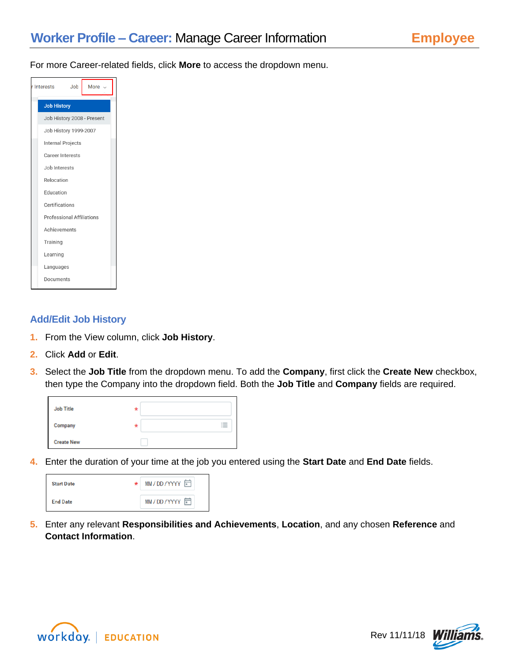For more Career-related fields, click **More** to access the dropdown menu.

| r Interests<br>Job<br>More -     |
|----------------------------------|
| <b>Job History</b>               |
| Job History 2008 - Present       |
| Job History 1999-2007            |
| Internal Projects                |
| Career Interests                 |
| Job Interests                    |
| Relocation                       |
| Education                        |
| Certifications                   |
| <b>Professional Affiliations</b> |
| Achievements                     |
| Training                         |
| Learning                         |
| Languages                        |
| Documents                        |

# **Add/Edit Job History**

- **1.** From the View column, click **Job History**.
- **2.** Click **Add** or **Edit**.
- **3.** Select the **Job Title** from the dropdown menu. To add the **Company**, first click the **Create New** checkbox, then type the Company into the dropdown field. Both the **Job Title** and **Company** fields are required.

| Job Title         | $\star$ |   |
|-------------------|---------|---|
| Company           | *       | 三 |
| <b>Create New</b> |         |   |

**4.** Enter the duration of your time at the job you entered using the **Start Date** and **End Date** fields.

| <b>Start Date</b> | * | MM/DD/YYYY |
|-------------------|---|------------|
| <b>End Date</b>   |   | MM/DD/YYYY |

**5.** Enter any relevant **Responsibilities and Achievements**, **Location**, and any chosen **Reference** and **Contact Information**.



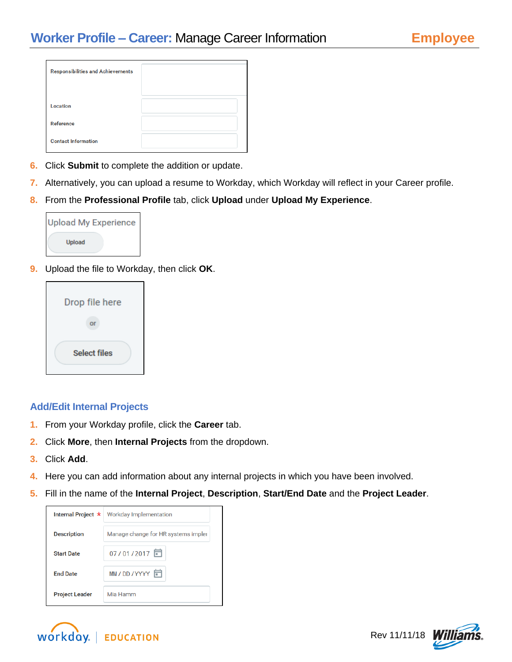| <b>Responsibilities and Achievements</b> |  |
|------------------------------------------|--|
|                                          |  |
| Location                                 |  |
| Reference                                |  |
| <b>Contact Information</b>               |  |

- **6.** Click **Submit** to complete the addition or update.
- **7.** Alternatively, you can upload a resume to Workday, which Workday will reflect in your Career profile.
- **8.** From the **Professional Profile** tab, click **Upload** under **Upload My Experience**.

| Upload My Experience |
|----------------------|
| <b>Upload</b>        |

**9.** Upload the file to Workday, then click **OK**.



# **Add/Edit Internal Projects**

- **1.** From your Workday profile, click the **Career** tab.
- **2.** Click **More**, then **Internal Projects** from the dropdown.
- **3.** Click **Add**.
- **4.** Here you can add information about any internal projects in which you have been involved.
- **5.** Fill in the name of the **Internal Project**, **Description**, **Start/End Date** and the **Project Leader**.





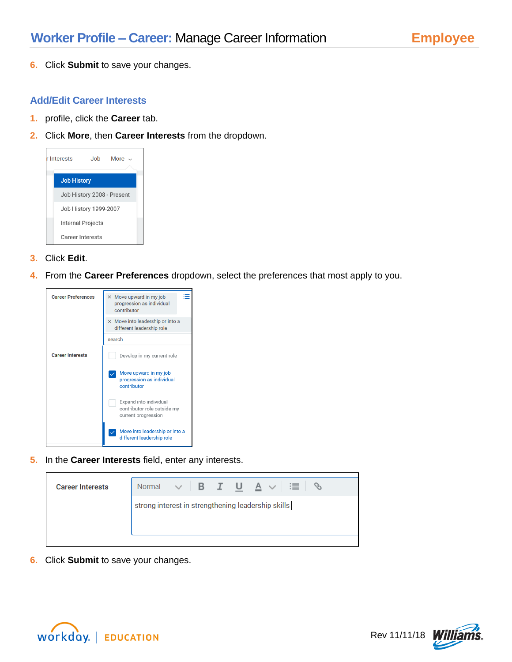**6.** Click **Submit** to save your changes.

## **Add/Edit Career Interests**

- **1.** profile, click the **Career** tab.
- **2.** Click **More**, then **Career Interests** from the dropdown.



- **3.** Click **Edit**.
- **4.** From the **Career Preferences** dropdown, select the preferences that most apply to you.



**5.** In the **Career Interests** field, enter any interests.

| strong interest in strengthening leadership skills | <b>Career Interests</b> | Normal $\vee$ <b>B</b> $I$ <b>U</b> $A \vee$ |  | ∷≣ |  |
|----------------------------------------------------|-------------------------|----------------------------------------------|--|----|--|
|                                                    |                         |                                              |  |    |  |

**6.** Click **Submit** to save your changes.



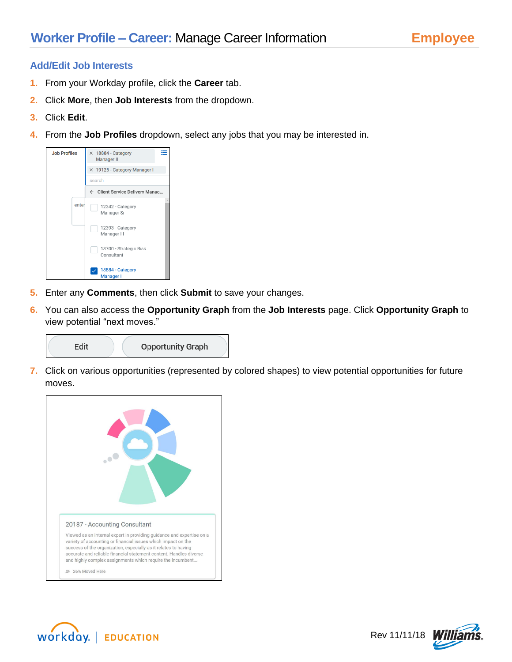### **Add/Edit Job Interests**

- **1.** From your Workday profile, click the **Career** tab.
- **2.** Click **More**, then **Job Interests** from the dropdown.
- **3.** Click **Edit**.
- **4.** From the **Job Profiles** dropdown, select any jobs that you may be interested in.



- **5.** Enter any **Comments**, then click **Submit** to save your changes.
- **6.** You can also access the **Opportunity Graph** from the **Job Interests** page. Click **Opportunity Graph** to view potential "next moves."



**7.** Click on various opportunities (represented by colored shapes) to view potential opportunities for future moves.





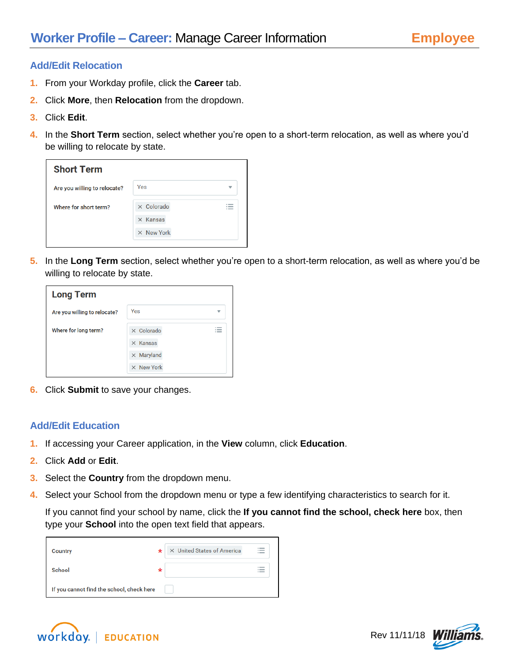## **Add/Edit Relocation**

- **1.** From your Workday profile, click the **Career** tab.
- **2.** Click **More**, then **Relocation** from the dropdown.
- **3.** Click **Edit**.
- **4.** In the **Short Term** section, select whether you're open to a short-term relocation, as well as where you'd be willing to relocate by state.

| <b>Short Term</b>            |                   |   |
|------------------------------|-------------------|---|
| Are you willing to relocate? | Yes               | ₩ |
| Where for short term?        | $\times$ Colorado |   |
|                              | $\times$ Kansas   |   |
|                              | $\times$ New York |   |

**5.** In the **Long Term** section, select whether you're open to a short-term relocation, as well as where you'd be willing to relocate by state.

| <b>Long Term</b>             |                   |                          |
|------------------------------|-------------------|--------------------------|
| Are you willing to relocate? | Yes               | v                        |
| Where for long term?         | $\times$ Colorado | $\overline{\phantom{a}}$ |
|                              | $\times$ Kansas   |                          |
|                              | $\times$ Maryland |                          |
|                              | $\times$ New York |                          |

**6.** Click **Submit** to save your changes.

#### **Add/Edit Education**

- **1.** If accessing your Career application, in the **View** column, click **Education**.
- **2.** Click **Add** or **Edit**.
- **3.** Select the **Country** from the dropdown menu.
- **4.** Select your School from the dropdown menu or type a few identifying characteristics to search for it.

If you cannot find your school by name, click the **If you cannot find the school, check here** box, then type your **School** into the open text field that appears.

| Country                                   | $\star$ | X United States of America | $\overline{\phantom{a}}$ |
|-------------------------------------------|---------|----------------------------|--------------------------|
| School                                    | *       |                            |                          |
| If you cannot find the school, check here |         |                            |                          |



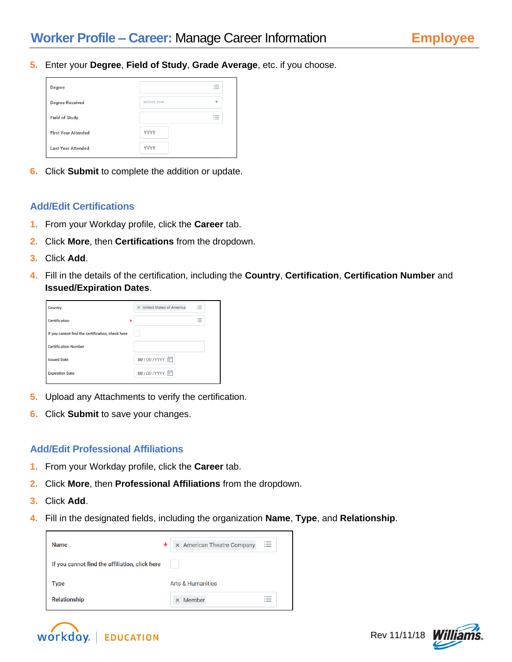**5.** Enter your **Degree**, **Field of Study**, **Grade Average**, etc. if you choose.

| <b>Degree</b>              |             | $\overline{\phantom{a}}$<br>$\sim$<br>$\overline{\phantom{a}}$ |
|----------------------------|-------------|----------------------------------------------------------------|
| <b>Degree Received</b>     | select one  | $\overline{\mathbf{v}}$                                        |
| <b>Field of Study</b>      |             | $\sim$<br>$\overline{\phantom{a}}$<br>$\sim$                   |
| <b>First Year Attended</b> | <b>YYYY</b> |                                                                |
| <b>Last Year Attended</b>  | <b>YYYY</b> |                                                                |

**6.** Click **Submit** to complete the addition or update.

# **Add/Edit Certifications**

- **1.** From your Workday profile, click the **Career** tab.
- **2.** Click **More**, then **Certifications** from the dropdown.
- **3.** Click **Add**.
- **4.** Fill in the details of the certification, including the **Country**, **Certification**, **Certification Number** and **Issued/Expiration Dates**.



- **5.** Upload any Attachments to verify the certification.
- **6.** Click **Submit** to save your changes.

# **Add/Edit Professional Affiliations**

- **1.** From your Workday profile, click the **Career** tab.
- **2.** Click **More**, then **Professional Affiliations** from the dropdown.
- **3.** Click **Add**.
- **4.** Fill in the designated fields, including the organization **Name**, **Type**, and **Relationship**.

| *<br><b>Name</b>                               | $\times$ American Theatre Company | $\overline{\phantom{a}}$ |
|------------------------------------------------|-----------------------------------|--------------------------|
| If you cannot find the affiliation, click here |                                   |                          |
| <b>Type</b>                                    | <b>Arts &amp; Humanities</b>      |                          |
| Relationship                                   | $\times$ Member                   |                          |



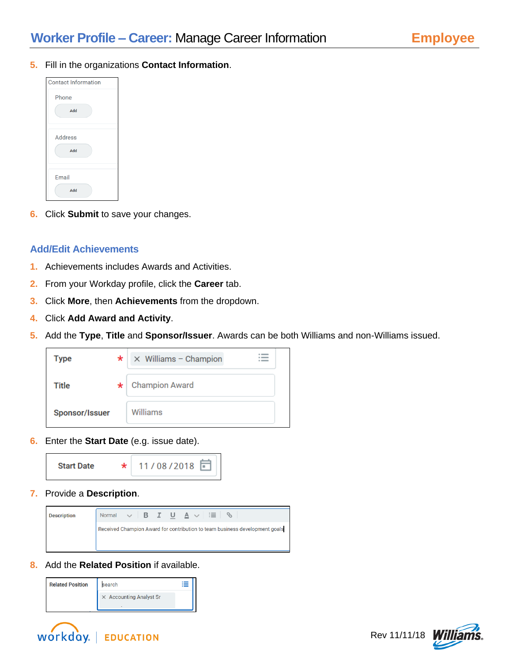**5.** Fill in the organizations **Contact Information**.



**6.** Click **Submit** to save your changes.

## **Add/Edit Achievements**

- **1.** Achievements includes Awards and Activities.
- **2.** From your Workday profile, click the **Career** tab.
- **3.** Click **More**, then **Achievements** from the dropdown.
- **4.** Click **Add Award and Activity**.
- **5.** Add the **Type**, **Title** and **Sponsor/Issuer**. Awards can be both Williams and non-Williams issued.



**6.** Enter the **Start Date** (e.g. issue date).



**7.** Provide a **Description**.



**8.** Add the **Related Position** if available.